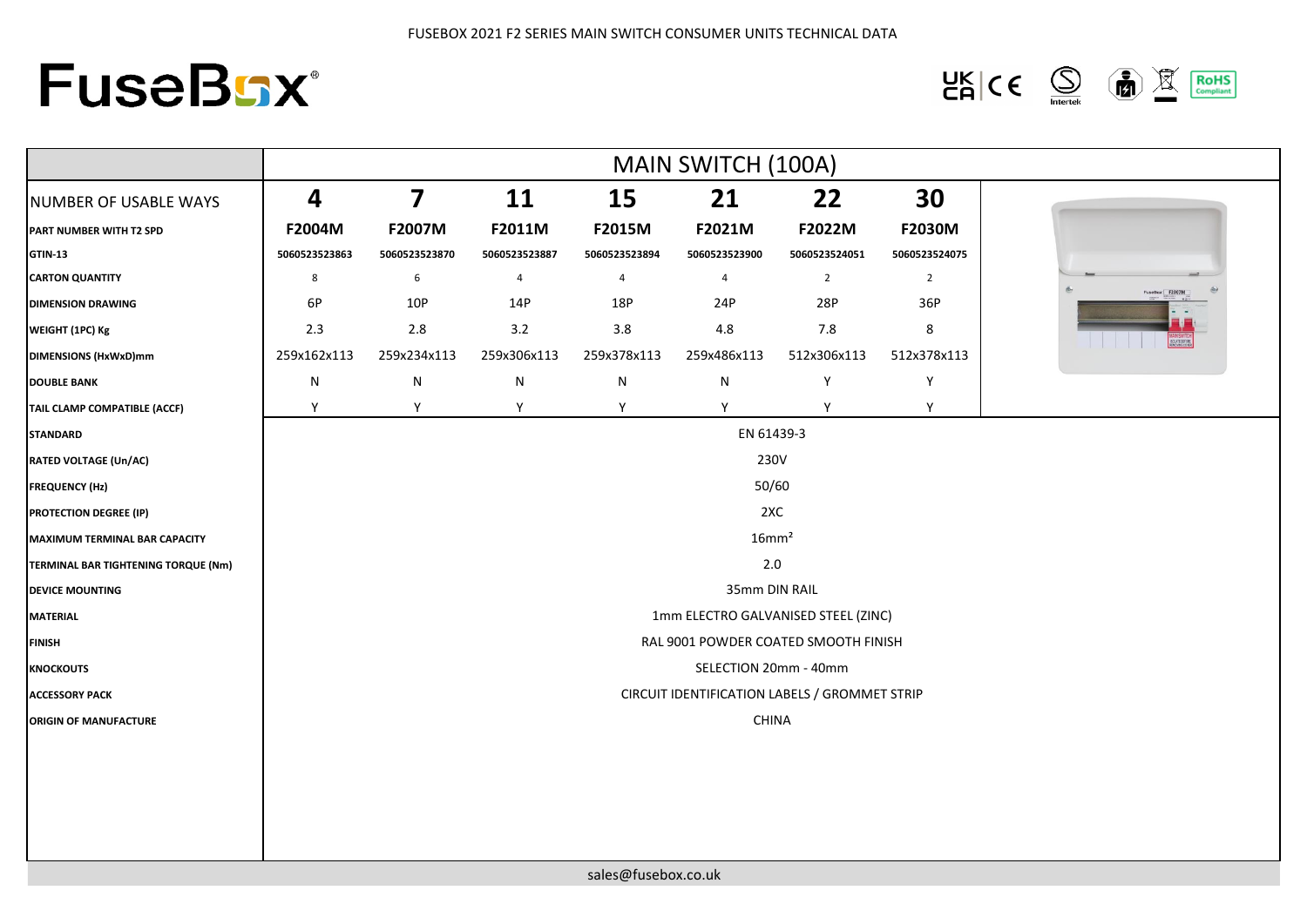## **FuseBsx®**

 $\frac{\mathsf{UK}}{\mathsf{CA}}$   $\mathsf{CE}$   $\bigotimes$  $\left(\frac{1}{\ln n}\right)$ **RoHS**<br>Compliant  $\mathbb{R}$ 

|                                     | MAIN SWITCH (100A)                            |                         |               |               |                |                |                |
|-------------------------------------|-----------------------------------------------|-------------------------|---------------|---------------|----------------|----------------|----------------|
| NUMBER OF USABLE WAYS               | $\overline{\mathbf{4}}$                       | $\overline{\mathbf{z}}$ | 11            | 15            | 21             | 22             | 30             |
| PART NUMBER WITH T2 SPD             | F2004M                                        | F2007M                  | F2011M        | F2015M        | F2021M         | F2022M         | <b>F2030M</b>  |
| <b>GTIN-13</b>                      | 5060523523863                                 | 5060523523870           | 5060523523887 | 5060523523894 | 5060523523900  | 5060523524051  | 5060523524075  |
| <b>CARTON QUANTITY</b>              | 8                                             | 6                       | 4             | 4             | $\overline{4}$ | $\overline{2}$ | $\overline{2}$ |
| <b>DIMENSION DRAWING</b>            | 6P                                            | 10P                     | 14P           | 18P           | 24P            | 28P            | 36P            |
| WEIGHT (1PC) Kg                     | 2.3                                           | 2.8                     | 3.2           | 3.8           | 4.8            | 7.8            | 8              |
| DIMENSIONS (HxWxD)mm                | 259x162x113                                   | 259x234x113             | 259x306x113   | 259x378x113   | 259x486x113    | 512x306x113    | 512x378x113    |
| <b>DOUBLE BANK</b>                  | $\mathsf{N}$                                  | ${\sf N}$               | ${\sf N}$     | N             | ${\sf N}$      | Y              | Y              |
| TAIL CLAMP COMPATIBLE (ACCF)        | Y                                             | Y                       | Y             | Y             | Y              | Y              | Y              |
| <b>STANDARD</b>                     | EN 61439-3                                    |                         |               |               |                |                |                |
| <b>RATED VOLTAGE (Un/AC)</b>        | 230V                                          |                         |               |               |                |                |                |
| <b>FREQUENCY (Hz)</b>               | 50/60                                         |                         |               |               |                |                |                |
| <b>PROTECTION DEGREE (IP)</b>       | 2XC                                           |                         |               |               |                |                |                |
| MAXIMUM TERMINAL BAR CAPACITY       | 16mm <sup>2</sup>                             |                         |               |               |                |                |                |
| TERMINAL BAR TIGHTENING TORQUE (Nm) | 2.0                                           |                         |               |               |                |                |                |
| <b>DEVICE MOUNTING</b>              | 35mm DIN RAIL                                 |                         |               |               |                |                |                |
| <b>MATERIAL</b>                     | 1mm ELECTRO GALVANISED STEEL (ZINC)           |                         |               |               |                |                |                |
| <b>FINISH</b>                       | RAL 9001 POWDER COATED SMOOTH FINISH          |                         |               |               |                |                |                |
| <b>KNOCKOUTS</b>                    | SELECTION 20mm - 40mm                         |                         |               |               |                |                |                |
| <b>ACCESSORY PACK</b>               | CIRCUIT IDENTIFICATION LABELS / GROMMET STRIP |                         |               |               |                |                |                |
| <b>ORIGIN OF MANUFACTURE</b>        |                                               |                         |               |               | CHINA          |                |                |
|                                     |                                               |                         |               |               |                |                |                |
|                                     |                                               |                         |               |               |                |                |                |
|                                     |                                               |                         |               |               |                |                |                |
|                                     |                                               |                         |               |               |                |                |                |
|                                     |                                               |                         |               |               |                |                |                |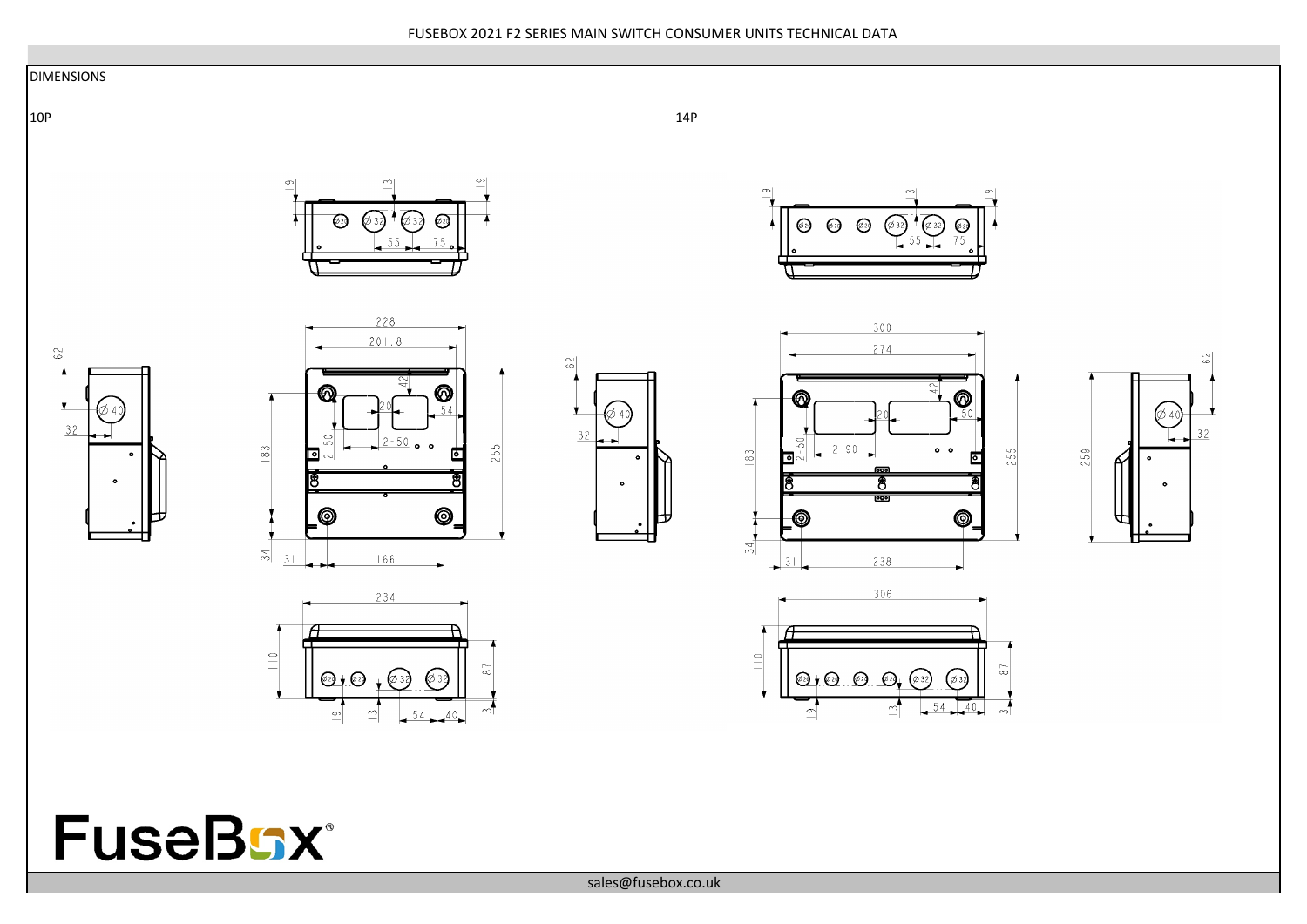## FUSEBOX 2021 F2 SERIES MAIN SWITCH CONSUMER UNITS TECHNICAL DATA

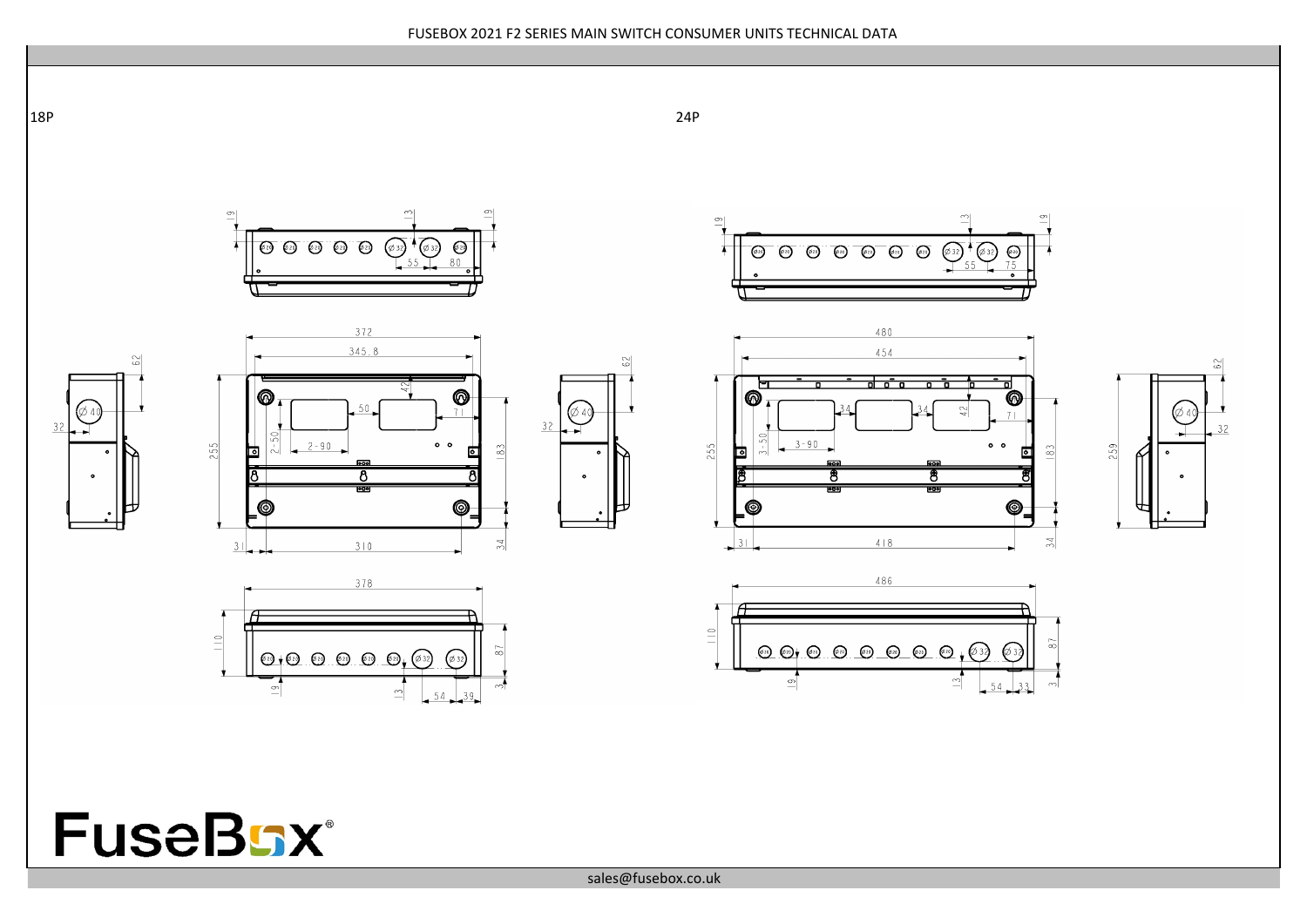

**FuseBGX®** 

sales@fusebox.co.uk